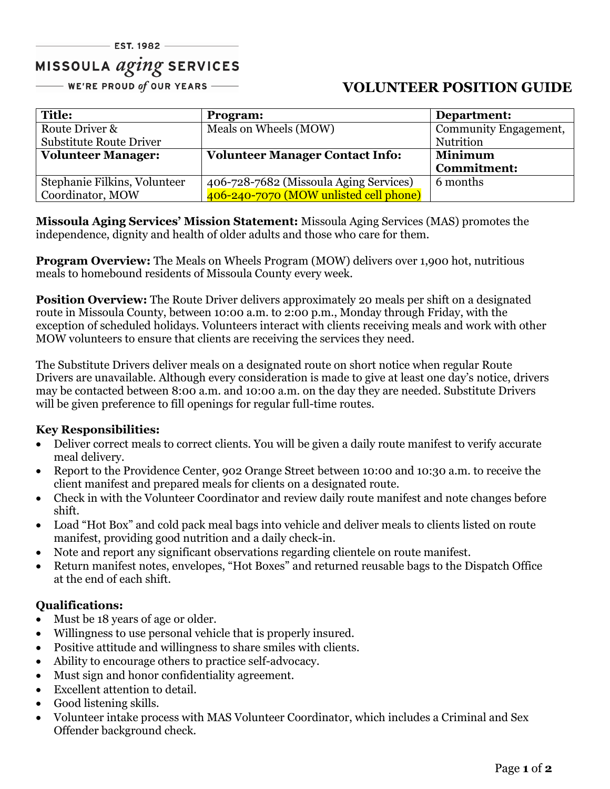# MISSOULA *aging* SERVICES

— WE'RE PROUD of OUR YEARS ——

# **VOLUNTEER POSITION GUIDE**

| <b>Title:</b>                  | <b>Program:</b>                        | Department:           |
|--------------------------------|----------------------------------------|-----------------------|
| Route Driver &                 | Meals on Wheels (MOW)                  | Community Engagement, |
| <b>Substitute Route Driver</b> |                                        | Nutrition             |
| <b>Volunteer Manager:</b>      | <b>Volunteer Manager Contact Info:</b> | <b>Minimum</b>        |
|                                |                                        | <b>Commitment:</b>    |
| Stephanie Filkins, Volunteer   | 406-728-7682 (Missoula Aging Services) | 6 months              |
| Coordinator, MOW               | 406-240-7070 (MOW unlisted cell phone) |                       |

**Missoula Aging Services' Mission Statement:** Missoula Aging Services (MAS) promotes the independence, dignity and health of older adults and those who care for them.

**Program Overview:** The Meals on Wheels Program (MOW) delivers over 1,900 hot, nutritious meals to homebound residents of Missoula County every week.

**Position Overview:** The Route Driver delivers approximately 20 meals per shift on a designated route in Missoula County, between 10:00 a.m. to 2:00 p.m., Monday through Friday, with the exception of scheduled holidays. Volunteers interact with clients receiving meals and work with other MOW volunteers to ensure that clients are receiving the services they need.

The Substitute Drivers deliver meals on a designated route on short notice when regular Route Drivers are unavailable. Although every consideration is made to give at least one day's notice, drivers may be contacted between 8:00 a.m. and 10:00 a.m. on the day they are needed. Substitute Drivers will be given preference to fill openings for regular full-time routes.

#### **Key Responsibilities:**

- Deliver correct meals to correct clients. You will be given a daily route manifest to verify accurate meal delivery.
- Report to the Providence Center, 902 Orange Street between 10:00 and 10:30 a.m. to receive the client manifest and prepared meals for clients on a designated route.
- Check in with the Volunteer Coordinator and review daily route manifest and note changes before shift.
- Load "Hot Box" and cold pack meal bags into vehicle and deliver meals to clients listed on route manifest, providing good nutrition and a daily check-in.
- Note and report any significant observations regarding clientele on route manifest.
- Return manifest notes, envelopes, "Hot Boxes" and returned reusable bags to the Dispatch Office at the end of each shift.

## **Qualifications:**

- Must be 18 years of age or older.
- Willingness to use personal vehicle that is properly insured.
- Positive attitude and willingness to share smiles with clients.
- Ability to encourage others to practice self-advocacy.
- Must sign and honor confidentiality agreement.
- Excellent attention to detail.
- Good listening skills.
- Volunteer intake process with MAS Volunteer Coordinator, which includes a Criminal and Sex Offender background check.